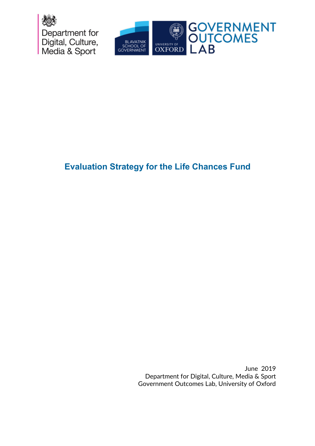



# **Evaluation Strategy for the Life Chances Fund**

June 2019 Department for Digital, Culture, Media & Sport Government Outcomes Lab, University of Oxford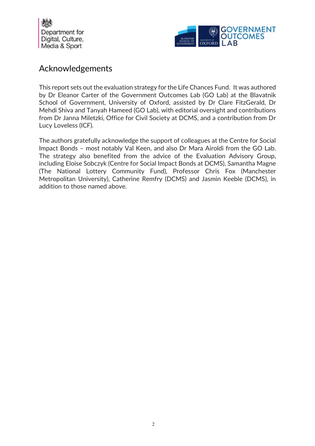



## Acknowledgements

This report sets out the evaluation strategy for the Life Chances Fund. It was authored by Dr Eleanor Carter of the Government Outcomes Lab (GO Lab) at the Blavatnik School of Government, University of Oxford, assisted by Dr Clare FitzGerald, Dr Mehdi Shiva and Tanyah Hameed (GO Lab), with editorial oversight and contributions from Dr Janna Miletzki, Office for Civil Society at DCMS, and a contribution from Dr Lucy Loveless (ICF).

The authors gratefully acknowledge the support of colleagues at the Centre for Social Impact Bonds – most notably Val Keen, and also Dr Mara Airoldi from the GO Lab. The strategy also benefited from the advice of the Evaluation Advisory Group, including Eloise Sobczyk (Centre for Social Impact Bonds at DCMS), Samantha Magne (The National Lottery Community Fund), Professor Chris Fox (Manchester Metropolitan University), Catherine Remfry (DCMS) and Jasmin Keeble (DCMS), in addition to those named above.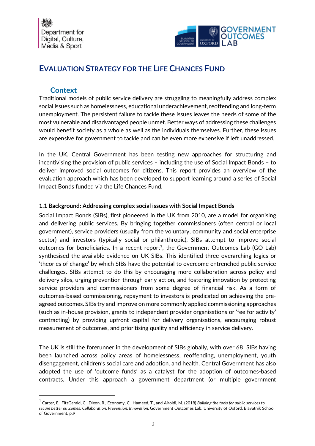

## **EVALUATION STRATEGY FOR THE LIFE CHANCES FUND**

#### **Context**

Traditional models of public service delivery are struggling to meaningfully address complex social issues such as homelessness, educational underachievement, reoffending and long-term unemployment. The persistent failure to tackle these issues leaves the needs of some of the most vulnerable and disadvantaged people unmet. Better ways of addressing these challenges would benefit society as a whole as well as the individuals themselves. Further, these issues are expensive for government to tackle and can be even more expensive if left unaddressed.

In the UK, Central Government has been testing new approaches for structuring and incentivising the provision of public services – including the use of Social Impact Bonds – to deliver improved social outcomes for citizens. This report provides an overview of the evaluation approach which has been developed to support learning around a series of Social Impact Bonds funded via the Life Chances Fund.

#### **1.1 Background: Addressing complex social issues with Social Impact Bonds**

Social Impact Bonds (SIBs), first pioneered in the UK from 2010, are a model for organising and delivering public services. By bringing together commissioners (often central or local government), service providers (usually from the voluntary, community and social enterprise sector) and investors (typically social or philanthropic), SIBs attempt to improve social outcomes for beneficiaries. In a recent report<sup>1</sup>, the Government Outcomes Lab (GO Lab) synthesised the available evidence on UK SIBs. This identified three overarching logics or 'theories of change' by which SIBs have the potential to overcome entrenched public service challenges. SIBs attempt to do this by encouraging more collaboration across policy and delivery silos, urging prevention through early action, and fostering innovation by protecting service providers and commissioners from some degree of financial risk. As a form of outcomes-based commissioning, repayment to investors is predicated on achieving the preagreed outcomes. SIBs try and improve on more commonly applied commissioning approaches (such as in-house provision, grants to independent provider organisations or 'fee for activity' contracting) by providing upfront capital for delivery organisations, encouraging robust measurement of outcomes, and prioritising quality and efficiency in service delivery.

The UK is still the forerunner in the development of SIBs globally, with over 68 SIBs having been launched across policy areas of homelessness, reoffending, unemployment, youth disengagement, children's social care and adoption, and health. Central Government has also adopted the use of 'outcome funds' as a catalyst for the adoption of outcomes-based contracts. Under this approach a government department (or multiple government

 <sup>1</sup> Carter, E., FitzGerald, C., Dixon, R., Economy, C., Hameed, T., and Airoldi, M. (2018) *Building the tools for public services to secure better outcomes: Collaboration, Prevention, Innovation*, Government Outcomes Lab, University of Oxford, Blavatnik School of Government, p.9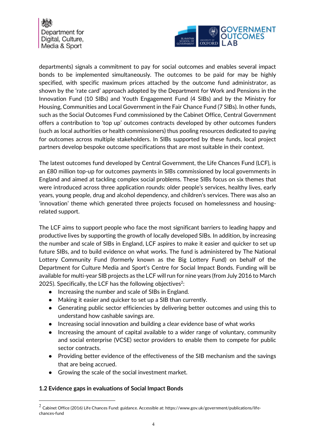

departments) signals a commitment to pay for social outcomes and enables several impact bonds to be implemented simultaneously. The outcomes to be paid for may be highly specified, with specific maximum prices attached by the outcome fund administrator, as shown by the 'rate card' approach adopted by the Department for Work and Pensions in the Innovation Fund (10 SIBs) and Youth Engagement Fund (4 SIBs) and by the Ministry for Housing, Communities and Local Government in the Fair Chance Fund (7 SIBs). In other funds, such as the Social Outcomes Fund commissioned by the Cabinet Office, Central Government offers a contribution to 'top up' outcomes contracts developed by other outcomes funders (such as local authorities or health commissioners) thus pooling resources dedicated to paying for outcomes across multiple stakeholders. In SIBs supported by these funds, local project partners develop bespoke outcome specifications that are most suitable in their context.

The latest outcomes fund developed by Central Government, the Life Chances Fund (LCF), is an £80 million top-up for outcomes payments in SIBs commissioned by local governments in England and aimed at tackling complex social problems. These SIBs focus on six themes that were introduced across three application rounds: older people's services, healthy lives, early years, young people, drug and alcohol dependency, and children's services. There was also an 'innovation' theme which generated three projects focused on homelessness and housingrelated support.

The LCF aims to support people who face the most significant barriers to leading happy and productive lives by supporting the growth of locally developed SIBs. In addition, by increasing the number and scale of SIBs in England, LCF aspires to make it easier and quicker to set up future SIBs, and to build evidence on what works. The fund is administered by The National Lottery Community Fund (formerly known as the Big Lottery Fund) on behalf of the Department for Culture Media and Sport's Centre for Social Impact Bonds. Funding will be available for multi-year SIB projects as the LCF will run for nine years (from July 2016 to March 2025). Specifically, the LCF has the following objectives<sup>2</sup>:

- Increasing the number and scale of SIBs in England.
- Making it easier and quicker to set up a SIB than currently.
- Generating public sector efficiencies by delivering better outcomes and using this to understand how cashable savings are.
- Increasing social innovation and building a clear evidence base of what works
- Increasing the amount of capital available to a wider range of voluntary, community and social enterprise (VCSE) sector providers to enable them to compete for public sector contracts.
- Providing better evidence of the effectiveness of the SIB mechanism and the savings that are being accrued.
- Growing the scale of the social investment market.

#### **1.2 Evidence gaps in evaluations of Social Impact Bonds**

 $^2$  Cabinet Office (2016) Life Chances Fund: guidance. Accessible at: https://www.gov.uk/government/publications/lifechances-fund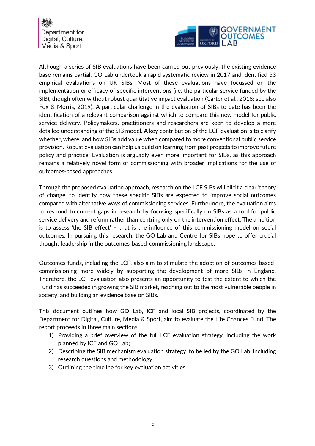

Although a series of SIB evaluations have been carried out previously, the existing evidence base remains partial. GO Lab undertook a rapid systematic review in 2017 and identified 33 empirical evaluations on UK SIBs. Most of these evaluations have focussed on the implementation or efficacy of specific interventions (i.e. the particular service funded by the SIB), though often without robust quantitative impact evaluation (Carter et al., 2018; see also Fox & Morris, 2019). A particular challenge in the evaluation of SIBs to date has been the identification of a relevant comparison against which to compare this new model for public service delivery. Policymakers, practitioners and researchers are keen to develop a more detailed understanding of the SIB model. A key contribution of the LCF evaluation is to clarify whether, where, and how SIBs add value when compared to more conventional public service provision. Robust evaluation can help us build on learning from past projects to improve future policy and practice. Evaluation is arguably even more important for SIBs, as this approach remains a relatively novel form of commissioning with broader implications for the use of outcomes-based approaches.

Through the proposed evaluation approach, research on the LCF SIBs will elicit a clear 'theory of change' to identify how these specific SIBs are expected to improve social outcomes compared with alternative ways of commissioning services. Furthermore, the evaluation aims to respond to current gaps in research by focusing specifically on SIBs as a tool for public service delivery and reform rather than centring only on the intervention effect. The ambition is to assess 'the SIB effect' – that is the influence of this commissioning model on social outcomes. In pursuing this research, the GO Lab and Centre for SIBs hope to offer crucial thought leadership in the outcomes-based-commissioning landscape.

Outcomes funds, including the LCF, also aim to stimulate the adoption of outcomes-basedcommissioning more widely by supporting the development of more SIBs in England. Therefore, the LCF evaluation also presents an opportunity to test the extent to which the Fund has succeeded in growing the SIB market, reaching out to the most vulnerable people in society, and building an evidence base on SIBs.

This document outlines how GO Lab, ICF and local SIB projects, coordinated by the Department for Digital, Culture, Media & Sport, aim to evaluate the Life Chances Fund. The report proceeds in three main sections:

- 1) Providing a brief overview of the full LCF evaluation strategy, including the work planned by ICF and GO Lab;
- 2) Describing the SIB mechanism evaluation strategy, to be led by the GO Lab, including research questions and methodology;
- 3) Outlining the timeline for key evaluation activities.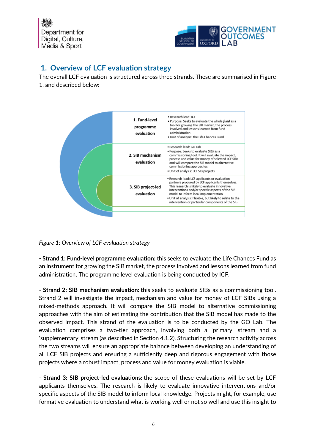

## **1. Overview of LCF evaluation strategy**

The overall LCF evaluation is structured across three strands. These are summarised in Figure 1, and described below:



*Figure 1: Overview of LCF evaluation strategy*

**- Strand 1: Fund-level programme evaluation:** this seeks to evaluate the Life Chances Fund as an instrument for growing the SIB market, the process involved and lessons learned from fund administration. The programme level evaluation is being conducted by ICF.

**- Strand 2: SIB mechanism evaluation:** this seeks to evaluate SIBs as a commissioning tool. Strand 2 will investigate the impact, mechanism and value for money of LCF SIBs using a mixed-methods approach. It will compare the SIB model to alternative commissioning approaches with the aim of estimating the contribution that the SIB model has made to the observed impact. This strand of the evaluation is to be conducted by the GO Lab. The evaluation comprises a two-tier approach, involving both a 'primary' stream and a 'supplementary' stream (as described in Section 4.1.2). Structuring the research activity across the two streams will ensure an appropriate balance between developing an understanding of all LCF SIB projects and ensuring a sufficiently deep and rigorous engagement with those projects where a robust impact, process and value for money evaluation is viable.

**- Strand 3: SIB project-led evaluations:** the scope of these evaluations will be set by LCF applicants themselves. The research is likely to evaluate innovative interventions and/or specific aspects of the SIB model to inform local knowledge. Projects might, for example, use formative evaluation to understand what is working well or not so well and use this insight to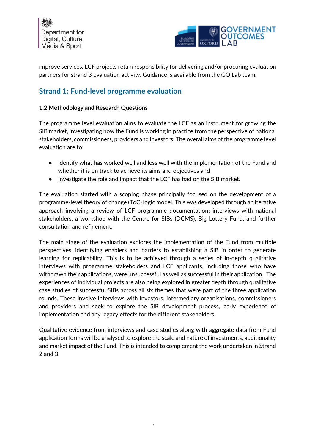



improve services. LCF projects retain responsibility for delivering and/or procuring evaluation partners for strand 3 evaluation activity. Guidance is available from the GO Lab team.

## **Strand 1: Fund-level programme evaluation**

#### **1.2 Methodology and Research Questions**

The programme level evaluation aims to evaluate the LCF as an instrument for growing the SIB market, investigating how the Fund is working in practice from the perspective of national stakeholders, commissioners, providers and investors. The overall aims of the programme level evaluation are to:

- Identify what has worked well and less well with the implementation of the Fund and whether it is on track to achieve its aims and objectives and
- Investigate the role and impact that the LCF has had on the SIB market.

The evaluation started with a scoping phase principally focused on the development of a programme-level theory of change (ToC) logic model. This was developed through an iterative approach involving a review of LCF programme documentation; interviews with national stakeholders, a workshop with the Centre for SIBs (DCMS), Big Lottery Fund, and further consultation and refinement.

The main stage of the evaluation explores the implementation of the Fund from multiple perspectives, identifying enablers and barriers to establishing a SIB in order to generate learning for replicability. This is to be achieved through a series of in-depth qualitative interviews with programme stakeholders and LCF applicants, including those who have withdrawn their applications, were unsuccessful as well as successful in their application. The experiences of individual projects are also being explored in greater depth through qualitative case studies of successful SIBs across all six themes that were part of the three application rounds. These involve interviews with investors, intermediary organisations, commissioners and providers and seek to explore the SIB development process, early experience of implementation and any legacy effects for the different stakeholders.

Qualitative evidence from interviews and case studies along with aggregate data from Fund application forms will be analysed to explore the scale and nature of investments, additionality and market impact of the Fund. This is intended to complement the work undertaken in Strand 2 and 3.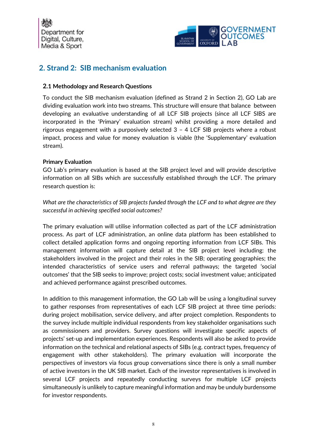



## **2. Strand 2: SIB mechanism evaluation**

#### **2.1 Methodology and Research Questions**

To conduct the SIB mechanism evaluation (defined as Strand 2 in Section 2), GO Lab are dividing evaluation work into two streams. This structure will ensure that balance between developing an evaluative understanding of all LCF SIB projects (since all LCF SIBS are incorporated in the 'Primary' evaluation stream) whilst providing a more detailed and rigorous engagement with a purposively selected 3 – 4 LCF SIB projects where a robust impact, process and value for money evaluation is viable (the 'Supplementary' evaluation stream).

#### **Primary Evaluation**

GO Lab's primary evaluation is based at the SIB project level and will provide descriptive information on all SIBs which are successfully established through the LCF. The primary research question is:

*What are the characteristics of SIB projects funded through the LCF and to what degree are they successful in achieving specified social outcomes?*

The primary evaluation will utilise information collected as part of the LCF administration process. As part of LCF administration, an online data platform has been established to collect detailed application forms and ongoing reporting information from LCF SIBs. This management information will capture detail at the SIB project level including: the stakeholders involved in the project and their roles in the SIB; operating geographies; the intended characteristics of service users and referral pathways; the targeted 'social outcomes' that the SIB seeks to improve; project costs; social investment value; anticipated and achieved performance against prescribed outcomes.

In addition to this management information, the GO Lab will be using a longitudinal survey to gather responses from representatives of each LCF SIB project at three time periods: during project mobilisation, service delivery, and after project completion. Respondents to the survey include multiple individual respondents from key stakeholder organisations such as commissioners and providers. Survey questions will investigate specific aspects of projects' set-up and implementation experiences. Respondents will also be asked to provide information on the technical and relational aspects of SIBs (e.g. contract types, frequency of engagement with other stakeholders). The primary evaluation will incorporate the perspectives of investors via focus group conversations since there is only a small number of active investors in the UK SIB market. Each of the investor representatives is involved in several LCF projects and repeatedly conducting surveys for multiple LCF projects simultaneously is unlikely to capture meaningful information and may be unduly burdensome for investor respondents.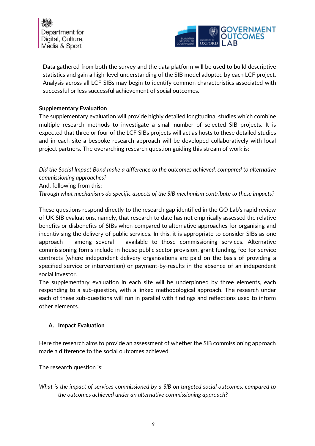



Data gathered from both the survey and the data platform will be used to build descriptive statistics and gain a high-level understanding of the SIB model adopted by each LCF project. Analysis across all LCF SIBs may begin to identify common characteristics associated with successful or less successful achievement of social outcomes.

#### **Supplementary Evaluation**

The supplementary evaluation will provide highly detailed longitudinal studies which combine multiple research methods to investigate a small number of selected SIB projects. It is expected that three or four of the LCF SIBs projects will act as hosts to these detailed studies and in each site a bespoke research approach will be developed collaboratively with local project partners. The overarching research question guiding this stream of work is:

*Did the Social Impact Bond make a difference to the outcomes achieved, compared to alternative commissioning approaches?* 

And, following from this:

*Through what mechanisms do specific aspects of the SIB mechanism contribute to these impacts?*

These questions respond directly to the research gap identified in the GO Lab's rapid review of UK SIB evaluations, namely, that research to date has not empirically assessed the relative benefits or disbenefits of SIBs when compared to alternative approaches for organising and incentivising the delivery of public services. In this, it is appropriate to consider SIBs as one approach – among several – available to those commissioning services. Alternative commissioning forms include in-house public sector provision, grant funding, fee-for-service contracts (where independent delivery organisations are paid on the basis of providing a specified service or intervention) or payment-by-results in the absence of an independent social investor.

The supplementary evaluation in each site will be underpinned by three elements, each responding to a sub-question, with a linked methodological approach. The research under each of these sub-questions will run in parallel with findings and reflections used to inform other elements.

#### **A. Impact Evaluation**

Here the research aims to provide an assessment of whether the SIB commissioning approach made a difference to the social outcomes achieved.

The research question is:

*What is the impact of services commissioned by a SIB on targeted social outcomes, compared to the outcomes achieved under an alternative commissioning approach?*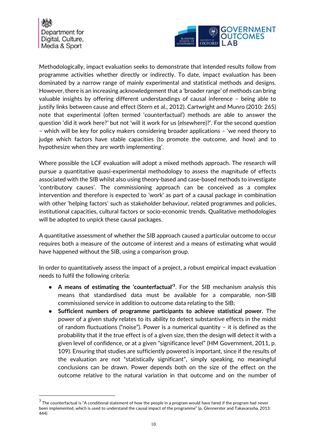

Methodologically, impact evaluation seeks to demonstrate that intended results follow from programme activities whether directly or indirectly. To date, impact evaluation has been dominated by a narrow range of mainly experimental and statistical methods and designs. However, there is an increasing acknowledgement that a 'broader range' of methods can bring valuable insights by offering different understandings of causal inference – being able to justify links between cause and effect (Stern et al., 2012). Cartwright and Munro (2010: 265) note that experimental (often termed 'counterfactual') methods are able to answer the question 'did it work here?' but not 'will it work for us (elsewhere)?'. For the second question – which will be key for policy makers considering broader applications – 'we need theory to judge which factors have stable capacities (to promote the outcome, and how) and to hypothesize when they are worth implementing'.

Where possible the LCF evaluation will adopt a mixed methods approach. The research will pursue a quantitative quasi-experimental methodology to assess the magnitude of effects associated with the SIB whilst also using theory-based and case-based methods to investigate 'contributory causes'. The commissioning approach can be conceived as a complex intervention and therefore is expected to 'work' as part of a causal package in combination with other 'helping factors' such as stakeholder behaviour, related programmes and policies, institutional capacities, cultural factors or socio-economic trends. Qualitative methodologies will be adopted to unpick these causal packages.

A quantitative assessment of whether the SIB approach caused a particular outcome to occur requires both a measure of the outcome of interest and a means of estimating what would have happened without the SIB, using a comparison group.

In order to quantitatively assess the impact of a project, a robust empirical impact evaluation needs to fulfil the following criteria:

- **A means of estimating the 'counterfactual'3** . For the SIB mechanism analysis this means that standardised data must be available for a comparable, non-SIB commissioned service in addition to outcome data relating to the SIB;
- **Sufficient numbers of programme participants to achieve statistical power.** The power of a given study relates to its ability to detect substantive effects in the midst of random fluctuations ("noise"). Power is a numerical quantity – it is defined as the probability that if the true effect is of a given size, then the design will detect it with a given level of confidence, or at a given "significance level" (HM Government, 2011, p. 109). Ensuring that studies are sufficiently powered is important, since if the results of the evaluation are not "statistically significant", simply speaking, no meaningful conclusions can be drawn. Power depends both on the size of the effect on the outcome relative to the natural variation in that outcome and on the number of

 $3$  The counterfactual is "A conditional statement of how the people in a program would have fared if the program had never been implemented, which is used to understand the causal impact of the programme" (p. Glennerster and Takavarasha, 2013: 444)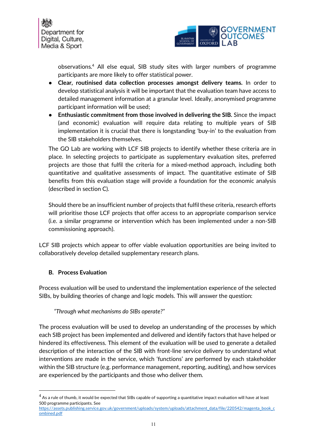



observations.4 All else equal, SIB study sites with larger numbers of programme participants are more likely to offer statistical power.

- **Clear, routinised data collection processes amongst delivery teams.** In order to develop statistical analysis it will be important that the evaluation team have access to detailed management information at a granular level. Ideally, anonymised programme participant information will be used;
- **Enthusiastic commitment from those involved in delivering the SIB.** Since the impact (and economic) evaluation will require data relating to multiple years of SIB implementation it is crucial that there is longstanding 'buy-in' to the evaluation from the SIB stakeholders themselves.

The GO Lab are working with LCF SIB projects to identify whether these criteria are in place. In selecting projects to participate as supplementary evaluation sites, preferred projects are those that fulfil the criteria for a mixed-method approach, including both quantitative and qualitative assessments of impact. The quantitative estimate of SIB benefits from this evaluation stage will provide a foundation for the economic analysis (described in section C).

Should there be an insufficient number of projects that fulfil these criteria, research efforts will prioritise those LCF projects that offer access to an appropriate comparison service (i.e. a similar programme or intervention which has been implemented under a non-SIB commissioning approach).

LCF SIB projects which appear to offer viable evaluation opportunities are being invited to collaboratively develop detailed supplementary research plans.

#### **B. Process Evaluation**

Process evaluation will be used to understand the implementation experience of the selected SIBs, by building theories of change and logic models. This will answer the question:

#### *"Through what mechanisms do SIBs operate?"*

The process evaluation will be used to develop an understanding of the processes by which each SIB project has been implemented and delivered and identify factors that have helped or hindered its effectiveness. This element of the evaluation will be used to generate a detailed description of the interaction of the SIB with front-line service delivery to understand what interventions are made in the service, which 'functions' are performed by each stakeholder within the SIB structure (e.g. performance management, reporting, auditing), and how services are experienced by the participants and those who deliver them.

 $^4$  As a rule of thumb, it would be expected that SIBs capable of supporting a quantitative impact evaluation will have at least 500 programme participants. See

https://assets.publishing.service.gov.uk/government/uploads/system/uploads/attachment\_data/file/220542/magenta\_book\_c ombined.pdf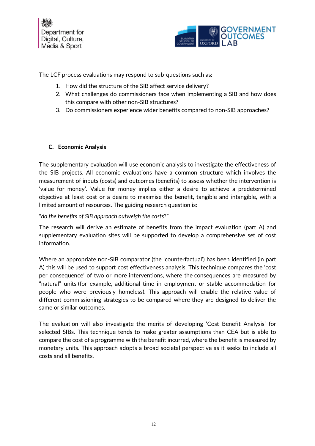

The LCF process evaluations may respond to sub-questions such as:

- 1. How did the structure of the SIB affect service delivery?
- 2. What challenges do commissioners face when implementing a SIB and how does this compare with other non-SIB structures?
- 3. Do commissioners experience wider benefits compared to non-SIB approaches?

#### **C. Economic Analysis**

The supplementary evaluation will use economic analysis to investigate the effectiveness of the SIB projects. All economic evaluations have a common structure which involves the measurement of inputs (costs) and outcomes (benefits) to assess whether the intervention is 'value for money'. Value for money implies either a desire to achieve a predetermined objective at least cost or a desire to maximise the benefit, tangible and intangible, with a limited amount of resources. The guiding research question is:

"*do the benefits of SIB approach outweigh the costs*?"

The research will derive an estimate of benefits from the impact evaluation (part A) and supplementary evaluation sites will be supported to develop a comprehensive set of cost information.

Where an appropriate non-SIB comparator (the 'counterfactual') has been identified (in part A) this will be used to support cost effectiveness analysis. This technique compares the 'cost per consequence' of two or more interventions, where the consequences are measured by "natural" units (for example, additional time in employment or stable accommodation for people who were previously homeless). This approach will enable the relative value of different commissioning strategies to be compared where they are designed to deliver the same or similar outcomes.

The evaluation will also investigate the merits of developing 'Cost Benefit Analysis' for selected SIBs. This technique tends to make greater assumptions than CEA but is able to compare the cost of a programme with the benefit incurred, where the benefit is measured by monetary units. This approach adopts a broad societal perspective as it seeks to include all costs and all benefits.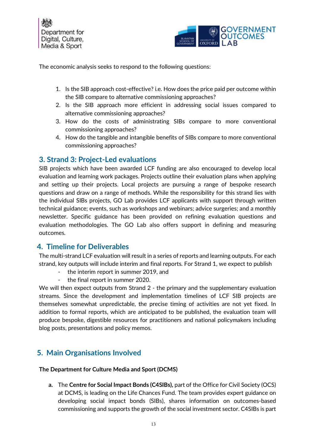

The economic analysis seeks to respond to the following questions:

- 1. Is the SIB approach cost-effective? i.e. How does the price paid per outcome within the SIB compare to alternative commissioning approaches?
- 2. Is the SIB approach more efficient in addressing social issues compared to alternative commissioning approaches?
- 3. How do the costs of administrating SIBs compare to more conventional commissioning approaches?
- 4. How do the tangible and intangible benefits of SIBs compare to more conventional commissioning approaches?

### **3. Strand 3: Project-Led evaluations**

SIB projects which have been awarded LCF funding are also encouraged to develop local evaluation and learning work packages. Projects outline their evaluation plans when applying and setting up their projects. Local projects are pursuing a range of bespoke research questions and draw on a range of methods. While the responsibility for this strand lies with the individual SIBs projects, GO Lab provides LCF applicants with support through written technical guidance; events, such as workshops and webinars; advice surgeries; and a monthly newsletter. Specific guidance has been provided on refining evaluation questions and evaluation methodologies. The GO Lab also offers support in defining and measuring outcomes.

### **4. Timeline for Deliverables**

The multi-strand LCF evaluation will result in a series of reports and learning outputs. For each strand, key outputs will include interim and final reports. For Strand 1, we expect to publish

- the interim report in summer 2019, and
- the final report in summer 2020.

We will then expect outputs from Strand 2 - the primary and the supplementary evaluation streams. Since the development and implementation timelines of LCF SIB projects are themselves somewhat unpredictable, the precise timing of activities are not yet fixed. In addition to formal reports, which are anticipated to be published, the evaluation team will produce bespoke, digestible resources for practitioners and national policymakers including blog posts, presentations and policy memos.

## **5. Main Organisations Involved**

#### **The Department for Culture Media and Sport (DCMS)**

**a.** The **Centre for Social Impact Bonds (C4SIBs),** part of the Office for Civil Society (OCS) at DCMS, is leading on the Life Chances Fund. The team provides expert guidance on developing social impact bonds (SIBs), shares information on outcomes-based commissioning and supports the growth of the social investment sector. C4SIBs is part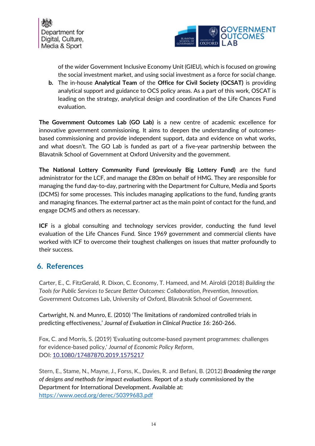



of the wider Government Inclusive Economy Unit (GIEU), which is focused on growing the social investment market, and using social investment as a force for social change.

**b.** The in-house **Analytical Team** of the **Office for Civil Society (OCSAT)** is providing analytical support and guidance to OCS policy areas. As a part of this work, OSCAT is leading on the strategy, analytical design and coordination of the Life Chances Fund evaluation.

**The Government Outcomes Lab (GO Lab)** is a new centre of academic excellence for innovative government commissioning. It aims to deepen the understanding of outcomesbased commissioning and provide independent support, data and evidence on what works, and what doesn't. The GO Lab is funded as part of a five-year partnership between the Blavatnik School of Government at Oxford University and the government.

**The National Lottery Community Fund (previously Big Lottery Fund)** are the fund administrator for the LCF, and manage the £80m on behalf of HMG. They are responsible for managing the fund day-to-day, partnering with the Department for Culture, Media and Sports (DCMS) for some processes. This includes managing applications to the fund, funding grants and managing finances. The external partner act as the main point of contact for the fund, and engage DCMS and others as necessary.

**ICF** is a global consulting and technology services provider, conducting the fund level evaluation of the Life Chances Fund. Since 1969 government and commercial clients have worked with ICF to overcome their toughest challenges on issues that matter profoundly to their success.

## **6. References**

Carter, E., C. FitzGerald, R. Dixon, C. Economy, T. Hameed, and M. Airoldi (2018) *Building the Tools for Public Services to Secure Better Outcomes: Collaboration, Prevention, Innovation.* Government Outcomes Lab, University of Oxford, Blavatnik School of Government.

Cartwright, N. and Munro, E. (2010) 'The limitations of randomized controlled trials in predicting effectiveness,' *Journal of Evaluation in Clinical Practice 16*: 260-266.

Fox, C. and Morris, S. (2019) 'Evaluating outcome-based payment programmes: challenges for evidence-based policy,' *Journal of Economic Policy Reform*, DOI: 10.1080/17487870.2019.1575217

Stern, E., Stame, N., Mayne, J., Forss, K., Davies, R. and Befani, B. (2012) *Broadening the range of designs and methods for impact evaluations*. Report of a study commissioned by the Department for International Development. Available at: https://www.oecd.org/derec/50399683.pdf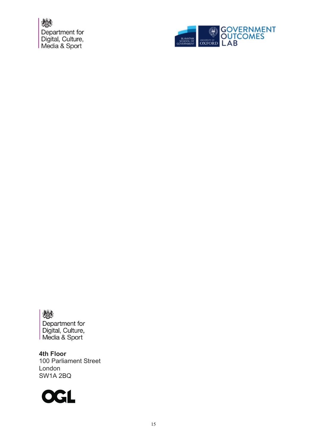

戀 Department for

Digital, Culture,<br>Media & Sport

**4th Floor**  100 Parliament Street London SW1A 2BQ